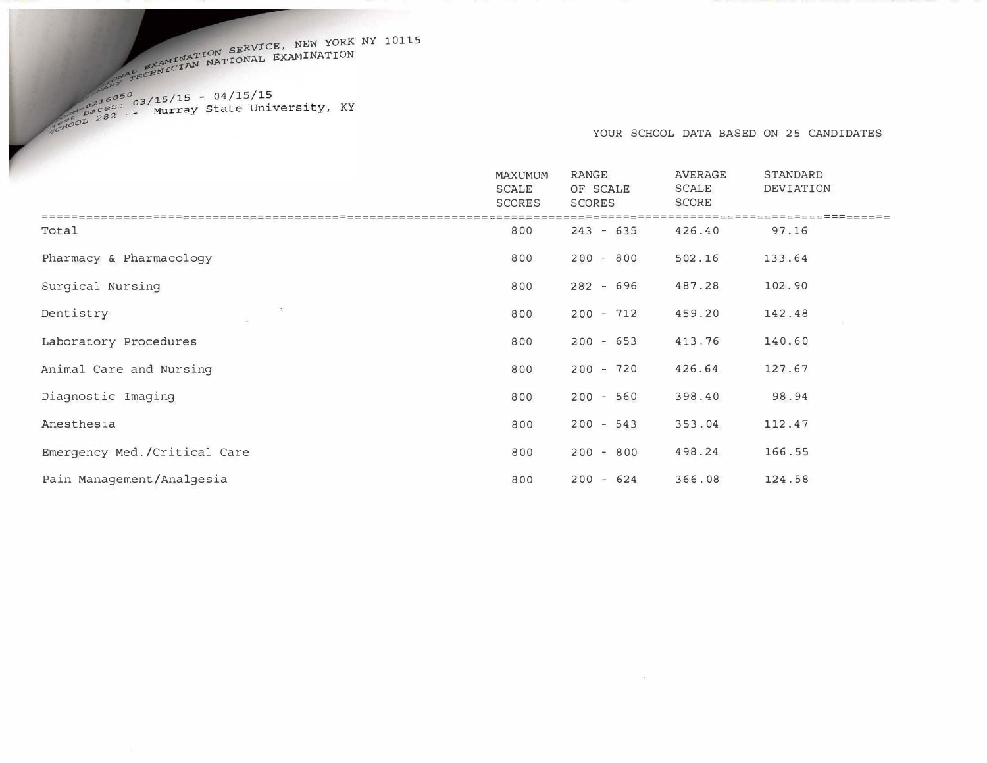I<sup>INATION SERVICE, NEW YORK NY 10115</sup><br>CIAN NATIONAL EXAMINATION

YOUR SCHOOL DATA BASED ON 25 CANDIDATES

|                              | MAXUMUM<br>SCALE<br><b>SCORES</b> | RANGE<br>OF SCALE<br>SCORES | AVERAGE<br><b>SCALE</b><br><b>SCORE</b> | STANDARD<br>DEVIATION |
|------------------------------|-----------------------------------|-----------------------------|-----------------------------------------|-----------------------|
| Total                        | 800                               | $243 - 635$                 | 426.40                                  | 97.16                 |
| Pharmacy & Pharmacology      | 800                               | $200 - 800$                 | 502.16                                  | 133.64                |
| Surgical Nursing             | 800                               | $282 - 696$                 | 487.28                                  | 102.90                |
| Dentistry                    | 800                               | $200 - 712$                 | 459.20                                  | 142.48                |
| Laboratory Procedures        | 800                               | $200 - 653$                 | 413.76                                  | 140.60                |
| Animal Care and Nursing      | 800                               | $200 - 720$                 | 426.64                                  | 127.67                |
| Diagnostic Imaging           | 800                               | $200 - 560$                 | 398.40                                  | 98.94                 |
| Anesthesia                   | 800                               | $200 - 543$                 | 353.04                                  | 112.47                |
| Emergency Med./Critical Care | 800                               | $200 - 800$                 | 498.24                                  | 166.55                |
| Pain Management/Analgesia    | 800                               | $200 - 624$                 | 366.08                                  | 124.58                |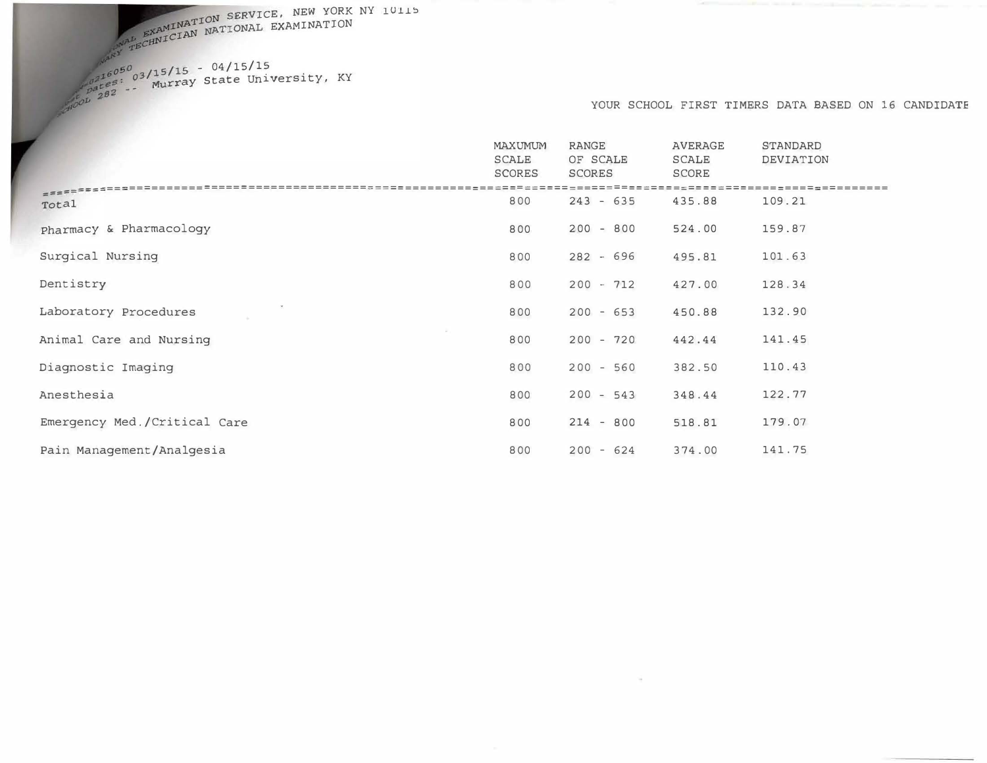SERVICE, NEW YORK NY 10115 NATIONAL EXAMINATION

 $\frac{6050}{63715/15}$  - 04/15/15<br>es: 03/wurray State University, KY :z82 - -

#### YOUR SCHOOL FIRST TIMERS DATA BASED ON 16 CANDIDATE

|                                 | MAXUMUM<br><b>SCALE</b><br><b>SCORES</b> | RANGE<br>OF SCALE<br><b>SCORES</b> | <b>AVERAGE</b><br><b>SCALE</b><br>SCORE | <b>STANDARD</b><br>DEVIATION |
|---------------------------------|------------------------------------------|------------------------------------|-----------------------------------------|------------------------------|
| $=$ $=$ $=$ $=$ $=$ $=$ $=$ $=$ | 800                                      | $243 - 635$                        | 435.88                                  | 109.21                       |
| Total                           |                                          |                                    |                                         |                              |
| pharmacy & Pharmacology         | 800                                      | $200 - 800$                        | 524.00                                  | 159.87                       |
| Surgical Nursing                | 800                                      | $282 - 696$                        | 495.81                                  | 101.63                       |
| Dentistry                       | 800                                      | $200 - 712$                        | 427.00                                  | 128.34                       |
| Laboratory Procedures           | 800                                      | $200 - 653$                        | 450.88                                  | 132.90                       |
| Animal Care and Nursing         | 800                                      | $200 - 720$                        | 442.44                                  | 141.45                       |
| Diagnostic Imaging              | 800                                      | $200 - 560$                        | 382.50                                  | 110.43                       |
| Anesthesia                      | 800                                      | $200 - 543$                        | 348.44                                  | 122.77                       |
| Emergency Med./Critical Care    | 800                                      | $214 - 800$                        | 518.81                                  | 179.07                       |
| Pain Management/Analgesia       | 800                                      | $200 - 624$                        | 374.00                                  | 141.75                       |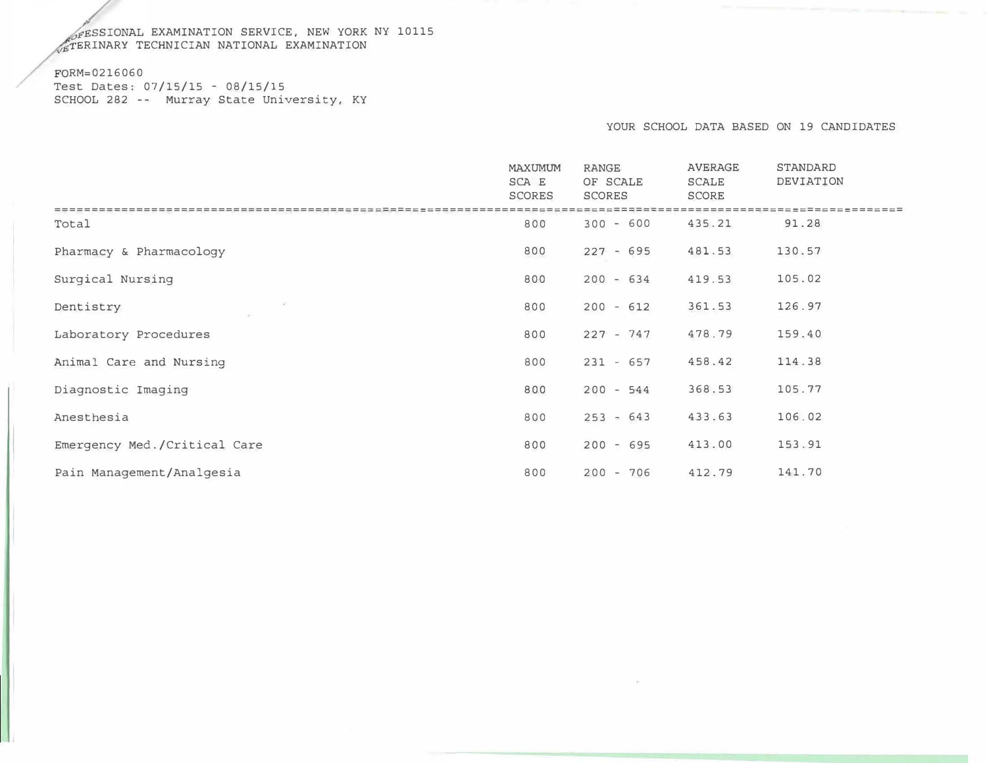#### SSIONAL EXAMINATION SERVICE, NEW YORK TERINARY TECHNICIAN NATIONAL EXAMINATION NY 10115

#### RM=0216060

/

Test Dates: 07/15/15 - 08/15/15 SCHOOL 282 -- Murray State University, KY

#### YOUR SCHOOL DATA BASED ON 19 CANDIDATES

|                              | MAXUMUM<br>SCA E<br><b>SCORES</b> | <b>RANGE</b><br>OF SCALE<br>SCORES | <b>AVERAGE</b><br><b>SCALE</b><br>SCORE | <b>STANDARD</b><br>DEVIATION |
|------------------------------|-----------------------------------|------------------------------------|-----------------------------------------|------------------------------|
| Total                        | 800                               | $300 - 600$                        | 435.21                                  | 91.28                        |
| Pharmacy & Pharmacology      | 800                               | $227 - 695$                        | 481.53                                  | 130.57                       |
| Surgical Nursing             | 800                               | $200 - 634$                        | 419.53                                  | 105.02                       |
| Dentistry                    | 800                               | $200 - 612$                        | 361.53                                  | 126.97                       |
| Laboratory Procedures        | 800                               | $227 - 747$                        | 478.79                                  | 159.40                       |
| Animal Care and Nursing      | 800                               | $231 - 657$                        | 458.42                                  | 114.38                       |
| Diagnostic Imaging           | 800                               | $200 - 544$                        | 368.53                                  | 105.77                       |
| Anesthesia                   | 800                               | $253 - 643$                        | 433.63                                  | 106.02                       |
| Emergency Med./Critical Care | 800                               | $200 - 695$                        | 413.00                                  | 153.91                       |
| Pain Management/Analgesia    | 800                               | $200 - 706$                        | 412.79                                  | 141.70                       |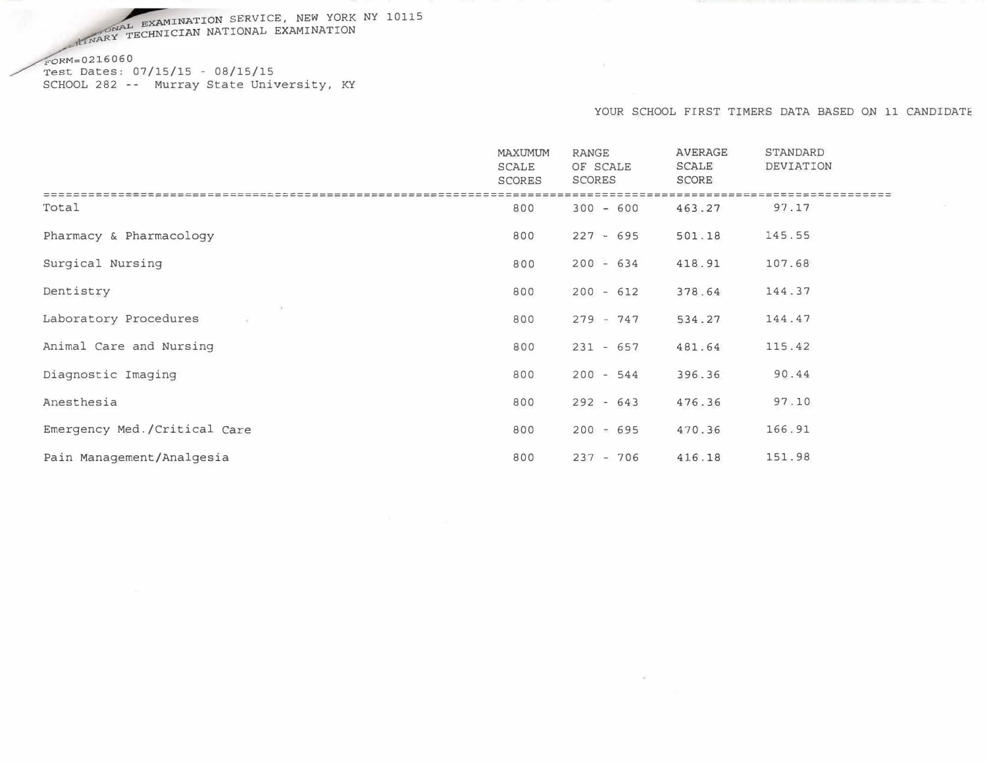EXAMINATION SERVICE, NEW YORK NY 10115 MAL EXAMINATION SERVICE, NEW YORK<br>X TECHNICIAN NATIONAL EXAMINATION

 $60$  FORM=0216060  $Test$  Dates:  $07/15/15 - 08/15/15$ SCHOOL 282 -- Murray State University, KY

#### YOUR SCHOOL FIRST TIMERS DATA BASED ON 11 CANDIDATE

|                              | <b>MAXUMUM</b><br><b>SCALE</b><br><b>SCORES</b> | <b>RANGE</b><br>OF SCALE<br><b>SCORES</b> | <b>AVERAGE</b><br><b>SCALE</b><br><b>SCORE</b> | STANDARD<br>DEVIATION |
|------------------------------|-------------------------------------------------|-------------------------------------------|------------------------------------------------|-----------------------|
|                              |                                                 |                                           |                                                |                       |
| Total                        | 800                                             | $300 - 600$                               | 463.27                                         | 97.17                 |
| Pharmacy & Pharmacology      | 800                                             | $227 - 695$                               | 501.18                                         | 145.55                |
| Surgical Nursing             | 800                                             | $200 - 634$                               | 418.91                                         | 107.68                |
| Dentistry                    | 800                                             | $200 - 612$                               | 378.64                                         | 144.37                |
| Laboratory Procedures        | 800                                             | $279 - 747$                               | 534.27                                         | 144.47                |
| Animal Care and Nursing      | 800                                             | $231 - 657$                               | 481.64                                         | 115.42                |
| Diagnostic Imaging           | 800                                             | $200 - 544$                               | 396.36                                         | 90.44                 |
| Anesthesia                   | 800                                             | $292 - 643$                               | 476.36                                         | 97.10                 |
| Emergency Med./Critical Care | 800                                             | $200 - 695$                               | 470.36                                         | 166.91                |
| Pain Management/Analgesia    | 800                                             | $237 - 706$                               | 416.18                                         | 151.98                |

 $\omega$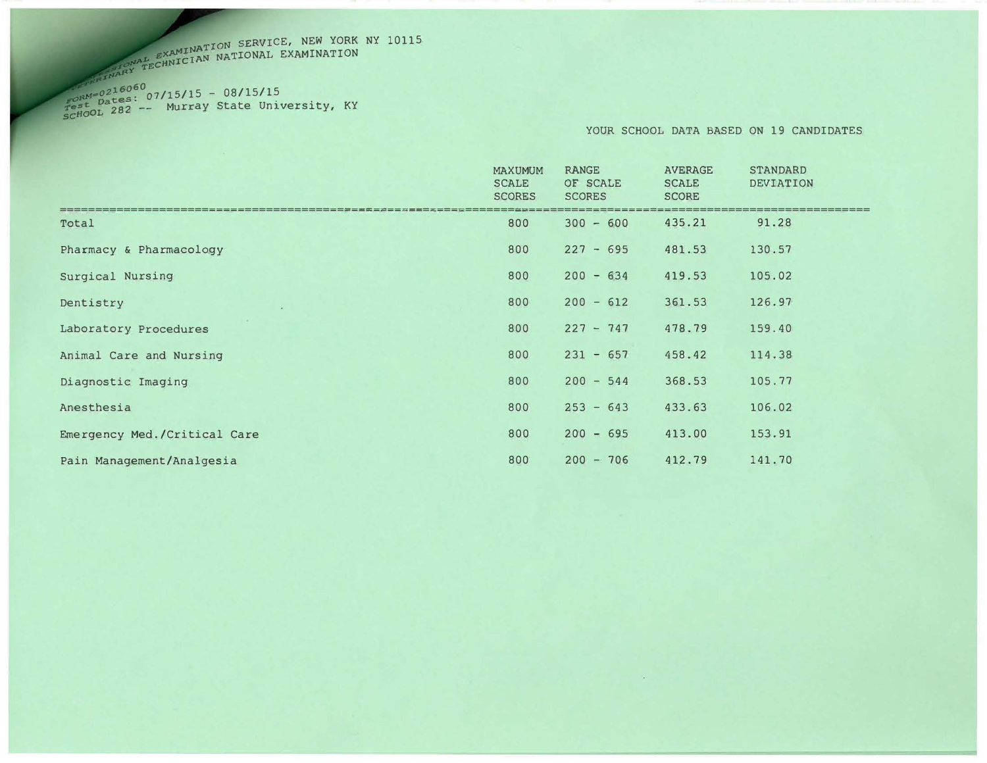# EXAMINATION SERVICE, NEW YORK NY 10115<br>TECHNICIAN NATIONAL EXAMINATION

 $\frac{FORM-0218000}{Test}$  Dates: 07/15/15 - 08/15/15<br>
scHool 282 -- Murray State University, KY

YOUR SCHOOL DATA BASED ON 19 CANDIDATES

|                              | <b>MAXUMUM</b><br><b>SCALE</b><br><b>SCORES</b> | <b>RANGE</b><br>OF SCALE<br><b>SCORES</b> | <b>AVERAGE</b><br><b>SCALE</b><br><b>SCORE</b> | <b>STANDARD</b><br><b>DEVIATION</b> |
|------------------------------|-------------------------------------------------|-------------------------------------------|------------------------------------------------|-------------------------------------|
| Total                        | 800                                             | $300 - 600$                               | 435.21                                         | 91.28                               |
| Pharmacy & Pharmacology      | 800                                             | $227 - 695$                               | 481.53                                         | 130.57                              |
| Surgical Nursing             | 800                                             | $200 - 634$                               | 419.53                                         | 105.02                              |
| Dentistry                    | 800                                             | $200 - 612$                               | 361.53                                         | 126.97                              |
| Laboratory Procedures        | 800                                             | $227 - 747$                               | 478.79                                         | 159.40                              |
| Animal Care and Nursing      | 800                                             | $231 - 657$                               | 458.42                                         | 114.38                              |
| Diagnostic Imaging           | 800                                             | $200 - 544$                               | 368.53                                         | 105.77                              |
| Anesthesia                   | 800                                             | $253 - 643$                               | 433.63                                         | 106.02                              |
| Emergency Med./Critical Care | 800                                             | $200 - 695$                               | 413.00                                         | 153.91                              |
| Pain Management/Analgesia    | 800                                             | $200 - 706$                               | 412.79                                         | 141.70                              |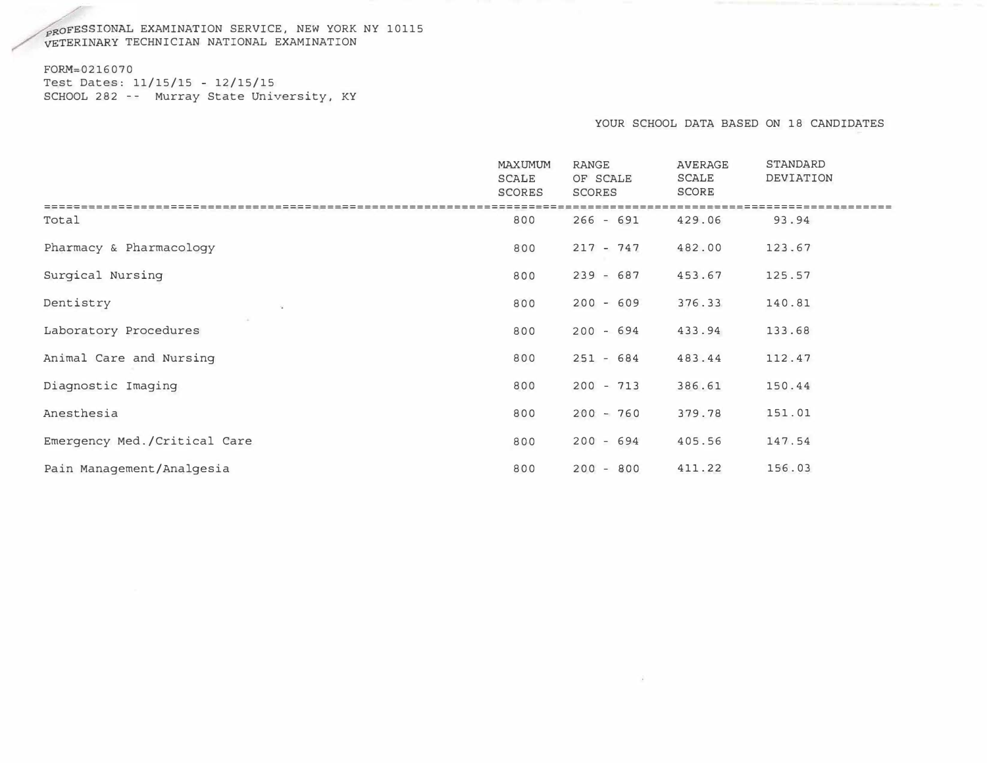## $\rho_{\rm FQFES S1ONAL}$  EXAMINATION SERVICE, NEW YORK NY 10115 VETERINARY TECHNICIAN NATIONAL EXAMINATION

#### FORM=0216070 Test Dates: 11/15/15 - 12/15/15 SCHOOL 282 -- Murray State University, KY

#### YOUR SCHOOL DATA BASED ON 18 CANDIDATES

|                              | <b>MAXUMUM</b><br><b>SCALE</b><br>SCORES | <b>RANGE</b><br>OF SCALE<br>SCORES | <b>AVERAGE</b><br><b>SCALE</b><br><b>SCORE</b> | <b>STANDARD</b><br>DEVIATION |
|------------------------------|------------------------------------------|------------------------------------|------------------------------------------------|------------------------------|
| Total                        | 800                                      |                                    | 429.06                                         | 93.94                        |
|                              |                                          | $266 - 691$                        |                                                |                              |
| Pharmacy & Pharmacology      | 800                                      | $217 - 747$                        | 482.00                                         | 123.67                       |
| Surgical Nursing             | 800                                      | $239 - 687$                        | 453.67                                         | 125.57                       |
| Dentistry                    | 800                                      | $200 - 609$                        | 376.33                                         | 140.81                       |
| Laboratory Procedures        | 800                                      | $200 - 694$                        | 433.94                                         | 133.68                       |
| Animal Care and Nursing      | 800                                      | $251 - 684$                        | 483.44                                         | 112.47                       |
| Diagnostic Imaging           | 800                                      | $200 - 713$                        | 386.61                                         | 150.44                       |
| Anesthesia                   | 800                                      | $200 - 760$                        | 379.78                                         | 151.01                       |
| Emergency Med./Critical Care | 800                                      | $200 - 694$                        | 405.56                                         | 147.54                       |
| Pain Management/Analgesia    | 800                                      | $200 - 800$                        | 411.22                                         | 156.03                       |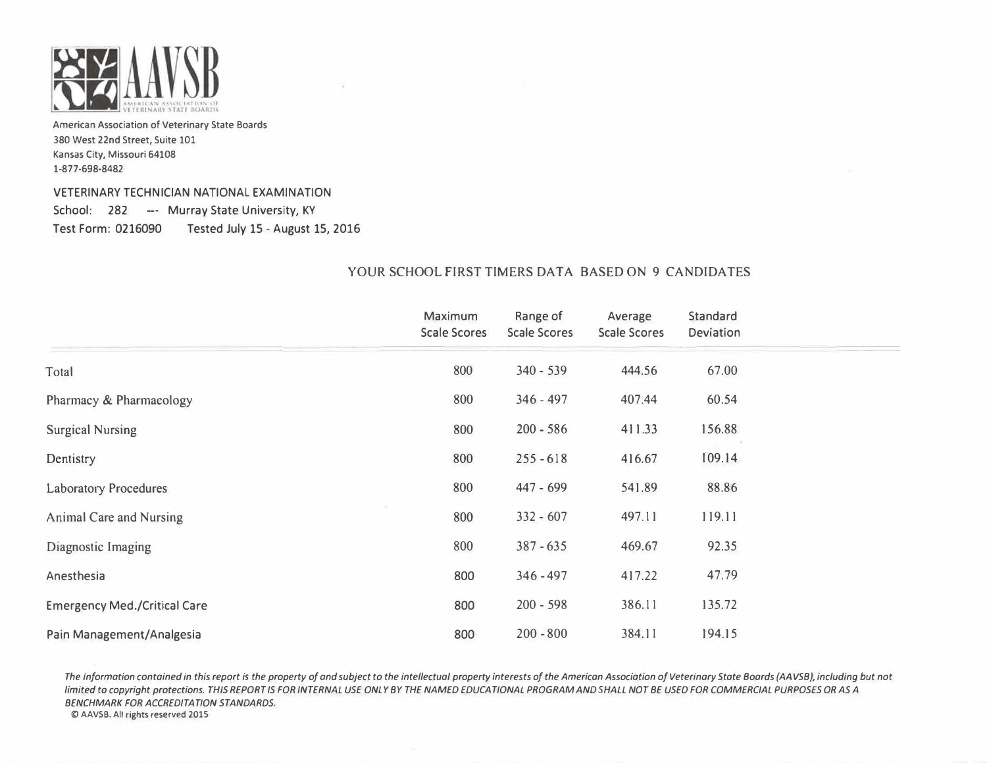

## VETERINARY TECHNICIAN NATIONAL EXAMINATION School: 282 -- Murray State University, KY Test Form: 0216090 Tested July 15- August 15, 2016

## YOUR SCHOOL FIRST TIMERS DATA BASED ON 9 CANDIDATES

|                                     | Maximum             | Range of            | Average             | Standard  |
|-------------------------------------|---------------------|---------------------|---------------------|-----------|
|                                     | <b>Scale Scores</b> | <b>Scale Scores</b> | <b>Scale Scores</b> | Deviation |
| Total                               | 800                 | $340 - 539$         | 444.56              | 67.00     |
| Pharmacy & Pharmacology             | 800                 | $346 - 497$         | 407.44              | 60.54     |
| <b>Surgical Nursing</b>             | 800                 | $200 - 586$         | 411.33              | 156.88    |
| Dentistry                           | 800                 | $255 - 618$         | 416.67              | 109.14    |
| <b>Laboratory Procedures</b>        | 800                 | 447 - 699           | 541.89              | 88.86     |
| <b>Animal Care and Nursing</b>      | 800                 | $332 - 607$         | 497.11              | 119.11    |
| Diagnostic Imaging                  | 800                 | $387 - 635$         | 469.67              | 92.35     |
| Anesthesia                          | 800                 | $346 - 497$         | 417.22              | 47.79     |
| <b>Emergency Med./Critical Care</b> | 800                 | $200 - 598$         | 386.11              | 135.72    |
| Pain Management/Analgesia           | 800                 | $200 - 800$         | 384.11              | 194.15    |

The information contained in this report is the property of and subject to the intellectual property interests of the American Association of Veterinary State Boards (AAVSB), including but not limited to copyright protections. THIS REPORT IS FOR INTERNAL USE ONLY BY THE NAMED EDUCATIONAL PROGRAM AND SHALL NOT BE USED FOR COMMERCIAL PURPOSES OR AS A BENCHMARK FOR ACCREDITATION STANDARDS.

� AAVSB. All rights reserved 201S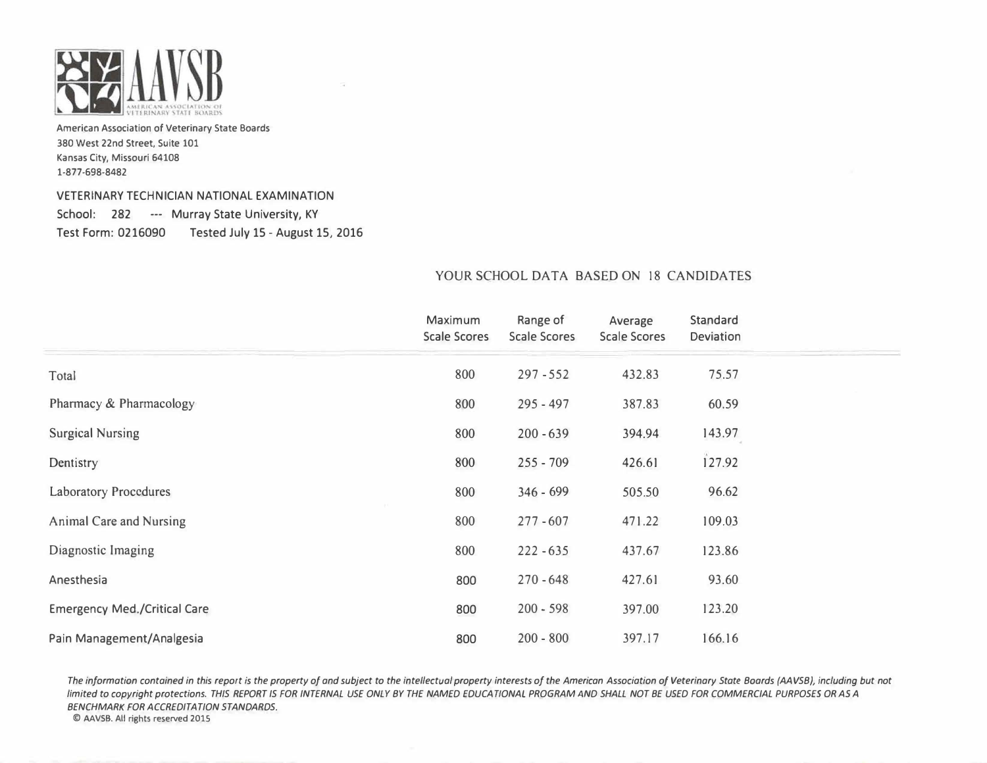

#### VETERINARY TECHNICIAN NATIONAL EXAMINATION

School: 282 --- Murray State University, KY Test Form: 0216090 Tested July 15- August 15, 2016

## YOUR SCHOOL DATA BASED ON 18 CANDIDATES

|                                     | Maximum             | Range of            | Average             | Standard  |
|-------------------------------------|---------------------|---------------------|---------------------|-----------|
|                                     | <b>Scale Scores</b> | <b>Scale Scores</b> | <b>Scale Scores</b> | Deviation |
| Total                               | 800                 | $297 - 552$         | 432.83              | 75.57     |
| Pharmacy & Pharmacology             | 800                 | $295 - 497$         | 387.83              | 60.59     |
| <b>Surgical Nursing</b>             | 800                 | $200 - 639$         | 394.94              | 143.97    |
| Dentistry                           | 800                 | $255 - 709$         | 426.61              | 127.92    |
| <b>Laboratory Procedures</b>        | 800                 | $346 - 699$         | 505.50              | 96.62     |
| Animal Care and Nursing             | 800                 | $277 - 607$         | 471.22              | 109.03    |
| Diagnostic Imaging                  | 800                 | $222 - 635$         | 437.67              | 123.86    |
| Anesthesia                          | 800                 | $270 - 648$         | 427.61              | 93.60     |
| <b>Emergency Med./Critical Care</b> | 800                 | $200 - 598$         | 397.00              | 123.20    |
| Pain Management/Analgesia           | 800                 | $200 - 800$         | 397.17              | 166.16    |

The information contained in this report is the property of and subject to the intellectual property interests of the American Association of Veterinary State Boards (AAVSB), including but not limited to copyright protections. THIS REPORT IS FOR INTERNAL USE ONLY BY THE NAMED EDUCATIONAL PROGRAM AND SHALL NOT BE USED FOR COMMERCIAL PURPOSES OR AS A BENCHMARK FOR ACCREDITATION STANDARDS.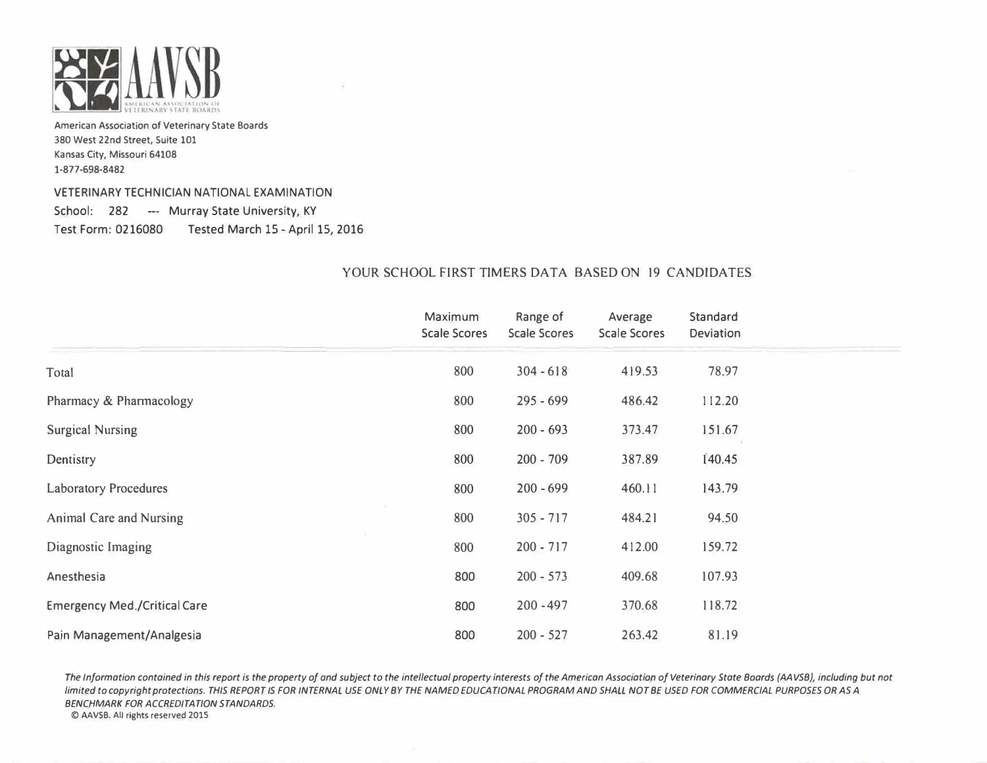

## VETERINARY TECHNICIAN NATIONAL EXAMINATION

School: 282 --- Murray State University, KY Test Form: 0216080 Tested March 15 - April 15, 2016

## YOUR SCHOOL FIRST TIMERS DATA BASED ON 19 CANDIDATES

|                                     | Maximum             | Range of            | Average             | Standard  |
|-------------------------------------|---------------------|---------------------|---------------------|-----------|
|                                     | <b>Scale Scores</b> | <b>Scale Scores</b> | <b>Scale Scores</b> | Deviation |
| Total                               | 800                 | $304 - 618$         | 419.53              | 78.97     |
| Pharmacy & Pharmacology             | 800                 | $295 - 699$         | 486.42              | 112.20    |
| <b>Surgical Nursing</b>             | 800                 | $200 - 693$         | 373.47              | 151.67    |
| Dentistry                           | 800                 | $200 - 709$         | 387.89              | 140.45    |
| <b>Laboratory Procedures</b>        | 800                 | $200 - 699$         | 460.11              | 143.79    |
| <b>Animal Care and Nursing</b>      | 800                 | $305 - 717$         | 484.21              | 94.50     |
| Diagnostic Imaging                  | 800                 | $200 - 717$         | 412.00              | 159.72    |
| Anesthesia                          | 800                 | $200 - 573$         | 409.68              | 107.93    |
| <b>Emergency Med./Critical Care</b> | 800                 | $200 - 497$         | 370.68              | 118.72    |
| Pain Management/Analgesia           | 800                 | $200 - 527$         | 263.42              | 81.19     |

The Information contained in this report is the property of and subject to the intellectual property interests of the American Association of Veterinary State Boards (AAVSB), including but not limited to copyright protections. THIS REPORT IS FOR INTERNAL USE ONLY BY THE NAMED EDUCATIONAL PROGRAM AND SHALL NOT BE USED FOR COMMERCIAL PURPOSES OR AS A BENCHMARK FOR ACCREDITATION STANDARDS.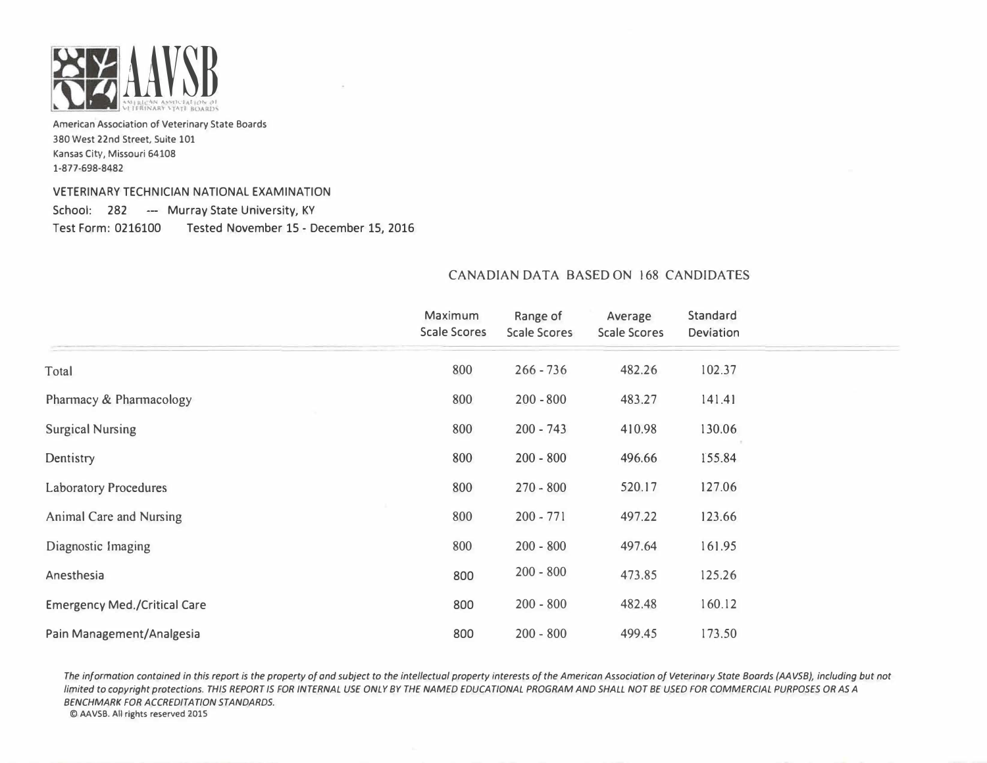

#### VETERINARY TECHNICIAN NATIONAL EXAMINATION

School: 282 -- Murray State University, KY Test Form: 0216100 Tested November 15- December 15, 2016

|                                     | Maximum<br><b>Scale Scores</b> | Range of<br><b>Scale Scores</b> | Average<br><b>Scale Scores</b> | Standard<br>Deviation |  |
|-------------------------------------|--------------------------------|---------------------------------|--------------------------------|-----------------------|--|
| Total                               | 800                            | $266 - 736$                     | 482.26                         | 102.37                |  |
| Pharmacy & Pharmacology             | 800                            | $200 - 800$                     | 483.27                         | 141.41                |  |
| <b>Surgical Nursing</b>             | 800                            | $200 - 743$                     | 410.98                         | 130.06                |  |
| Dentistry                           | 800                            | $200 - 800$                     | 496.66                         | 155.84                |  |
| <b>Laboratory Procedures</b>        | 800                            | $270 - 800$                     | 520.17                         | 127.06                |  |
| Animal Care and Nursing             | 800                            | $200 - 771$                     | 497.22                         | 123.66                |  |
| Diagnostic Imaging                  | 800                            | $200 - 800$                     | 497.64                         | 161.95                |  |
| Anesthesia                          | 800                            | $200 - 800$                     | 473.85                         | 125.26                |  |
| <b>Emergency Med./Critical Care</b> | 800                            | $200 - 800$                     | 482.48                         | 160.12                |  |
| Pain Management/Analgesia           | 800                            | $200 - 800$                     | 499.45                         | 173.50                |  |

## CANADIAN DATA BASED ON 168 CANDIDATES

The information contained in this report is the property of and subject to the intellectual property interests of the American Association of Veterinary State Boards (AAVSB), including but not limited to copyright protections. THIS REPORT IS FOR INTERNAL USE ONLY BY THE NAMED EDUCATIONAL PROGRAM AND SHALL NOT BE USED FOR COMMERCIAL PURPOSES OR AS A BENCHMARK FOR ACCREDITATION STANDARDS.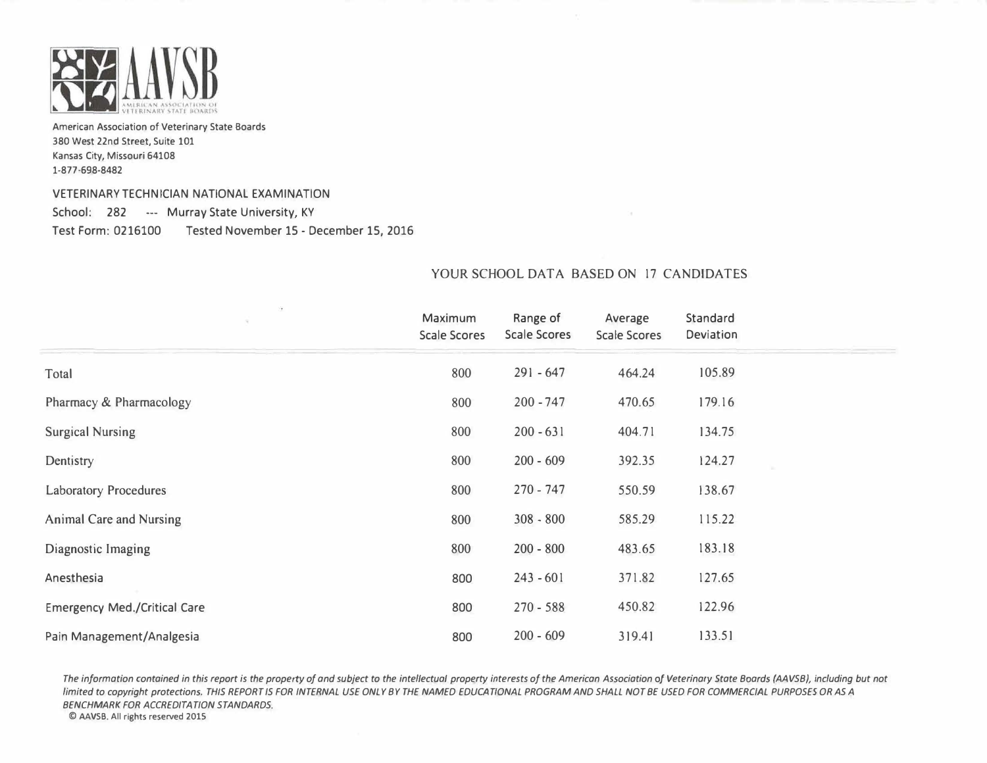

#### VETERINARY TECHNICIAN NATIONAL EXAMINATION

School: 282 --- Murray State University, KY Test Form: 0216100 Tested November 15- December 15, 2016

|                                     | Maximum<br><b>Scale Scores</b> | Range of<br><b>Scale Scores</b> | Average<br><b>Scale Scores</b> | Standard<br>Deviation |  |
|-------------------------------------|--------------------------------|---------------------------------|--------------------------------|-----------------------|--|
| Total                               | 800                            | $291 - 647$                     | 464.24                         | 105.89                |  |
| Pharmacy & Pharmacology             | 800                            | $200 - 747$                     | 470.65                         | 179.16                |  |
| <b>Surgical Nursing</b>             | 800                            | $200 - 631$                     | 404.71                         | 134.75                |  |
| Dentistry                           | 800                            | $200 - 609$                     | 392.35                         | 124.27                |  |
| <b>Laboratory Procedures</b>        | 800                            | $270 - 747$                     | 550.59                         | 138.67                |  |
| <b>Animal Care and Nursing</b>      | 800                            | $308 - 800$                     | 585.29                         | 115.22                |  |
| Diagnostic Imaging                  | 800                            | $200 - 800$                     | 483.65                         | 183.18                |  |
| Anesthesia                          | 800                            | $243 - 601$                     | 371.82                         | 127.65                |  |
| <b>Emergency Med./Critical Care</b> | 800                            | $270 - 588$                     | 450.82                         | 122.96                |  |
| Pain Management/Analgesia           | 800                            | $200 - 609$                     | 319.41                         | 133.51                |  |

## YOUR SCHOOL DATA BASED ON 17 CANDIDATES

The information contained in this report is the property of and subject to the intellectual property interests of the American Association of Veterinary State Boards (AAVSB), including but not limited to copyright protections. THIS REPORT IS FOR INTERNAL USE ONLY BY THE NAMED EDUCATIONAL PROGRAM AND SHALL NOT BE USED FOR COMMERCIAL PURPOSES OR AS A BENCHMARK FOR ACCREDITATION STANDARDS.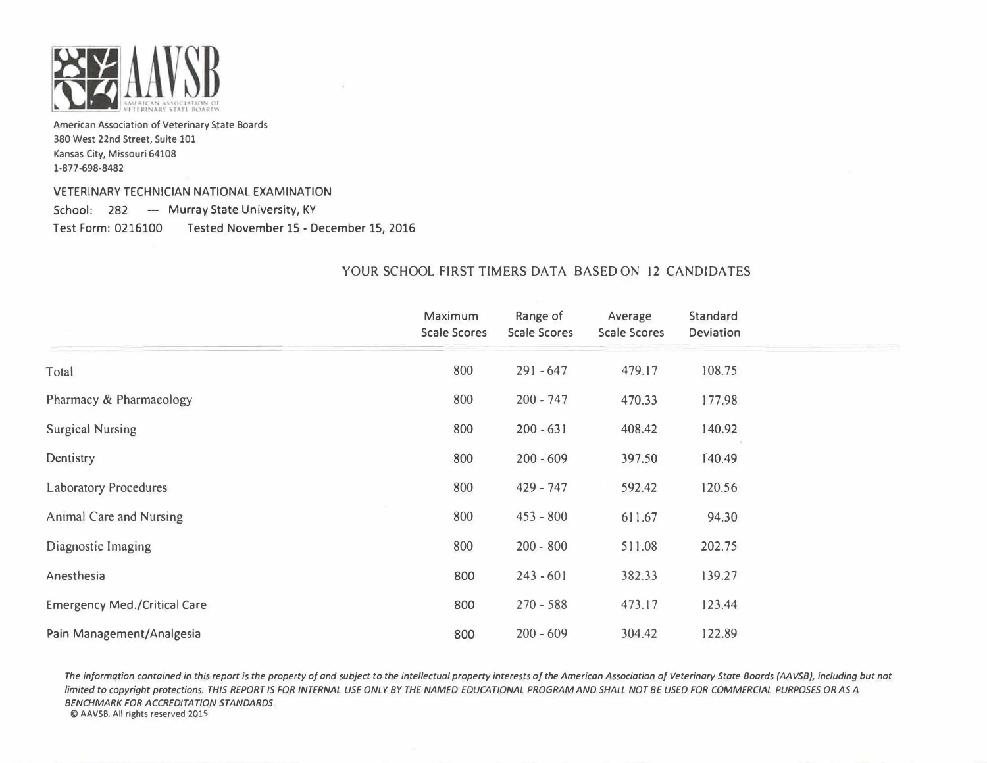

#### VETERINARY TECHNICIAN NATIONAL EXAMINATION

School: 282 --- Murray State University, KY Test Form: 0216100 Tested November 15- December 15, 2016

|                                     | Maximum<br><b>Scale Scores</b> | Range of<br><b>Scale Scores</b> | Average<br><b>Scale Scores</b> | Standard<br>Deviation |
|-------------------------------------|--------------------------------|---------------------------------|--------------------------------|-----------------------|
| Total                               | 800                            | $291 - 647$                     | 479.17                         | 108.75                |
| Pharmacy & Pharmacology             | 800                            | $200 - 747$                     | 470.33                         | 177.98                |
| <b>Surgical Nursing</b>             | 800                            | $200 - 631$                     | 408.42                         | 140.92                |
| Dentistry                           | 800                            | $200 - 609$                     | 397.50                         | 140.49                |
| <b>Laboratory Procedures</b>        | 800                            | 429 - 747                       | 592.42                         | 120.56                |
| Animal Care and Nursing             | 800                            | $453 - 800$                     | 611.67                         | 94.30                 |
| Diagnostic Imaging                  | 800                            | $200 - 800$                     | 511.08                         | 202.75                |
| Anesthesia                          | 800                            | $243 - 601$                     | 382.33                         | 139.27                |
| <b>Emergency Med./Critical Care</b> | 800                            | $270 - 588$                     | 473.17                         | 123.44                |
| Pain Management/Analgesia           | 800                            | $200 - 609$                     | 304.42                         | 122.89                |

## YOUR SCHOOL FIRST TIMERS DATA BASED ON 12 CANDIDATES

The information contained in this report is the property of and subject to the intellectual property interests of the American Association of Veterinary State Boards (AAVSB), including but not limited to copyright protections. THIS REPORT IS FOR INTERNAL USE ONLY BY THE NAMED EDUCATIONAL PROGRAM AND SHALL NOT BE USED FOR COMMERCIAL PURPOSES OR AS A BENCHMARK FOR ACCREDITATION STANDARDS.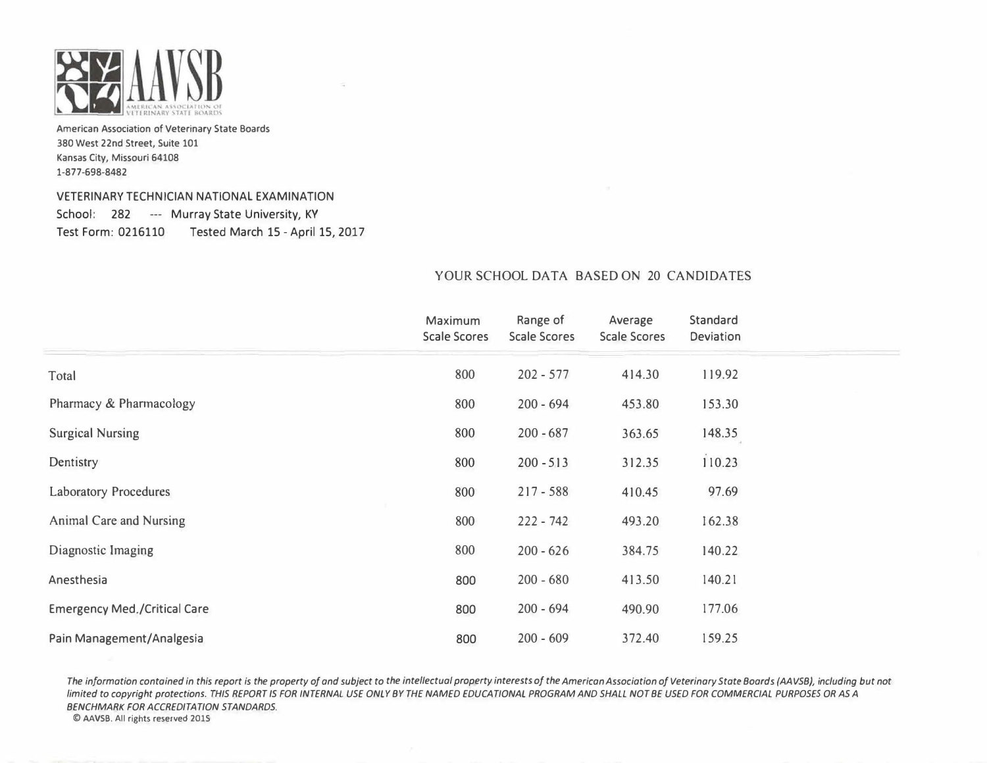

## VETERINARY TECHNICIAN NATIONAL EXAMINATION School: 282 --- Murray State University, KY Test Form: 0216110 Tested March 15 - April 15, 2017

|                                     | Maximum<br><b>Scale Scores</b> | Range of<br><b>Scale Scores</b> | Average<br><b>Scale Scores</b> | Standard<br>Deviation |  |
|-------------------------------------|--------------------------------|---------------------------------|--------------------------------|-----------------------|--|
| Total                               | 800                            | $202 - 577$                     | 414.30                         | 119.92                |  |
| Pharmacy & Pharmacology             | 800                            | $200 - 694$                     | 453.80                         | 153.30                |  |
| <b>Surgical Nursing</b>             | 800                            | $200 - 687$                     | 363.65                         | 148.35                |  |
| Dentistry                           | 800                            | $200 - 513$                     | 312.35                         | 110.23                |  |
| <b>Laboratory Procedures</b>        | 800                            | $217 - 588$                     | 410.45                         | 97.69                 |  |
| <b>Animal Care and Nursing</b>      | 800                            | $222 - 742$                     | 493.20                         | 162.38                |  |
| Diagnostic Imaging                  | 800                            | $200 - 626$                     | 384.75                         | 140.22                |  |
| Anesthesia                          | 800                            | $200 - 680$                     | 413.50                         | 140.21                |  |
| <b>Emergency Med./Critical Care</b> | 800                            | $200 - 694$                     | 490.90                         | 177.06                |  |
| Pain Management/Analgesia           | 800                            | $200 - 609$                     | 372.40                         | 159.25                |  |

## YOUR SCHOOL DATA BASED ON 20 CANDIDATES

The information contained in this report is the property of and subject to the intellectual property interests of the American Association of Veterinary State Boards (AAVSB), including but not limited to copyright protections. THIS REPORT IS FOR INTERNAL USE ONLY BY THE NAMED EDUCATIONAL PROGRAM AND SHALL NOT BE USED FOR COMMERCIAL PURPOSES OR AS A BENCHMARK FOR ACCREDITATION STANDARDS.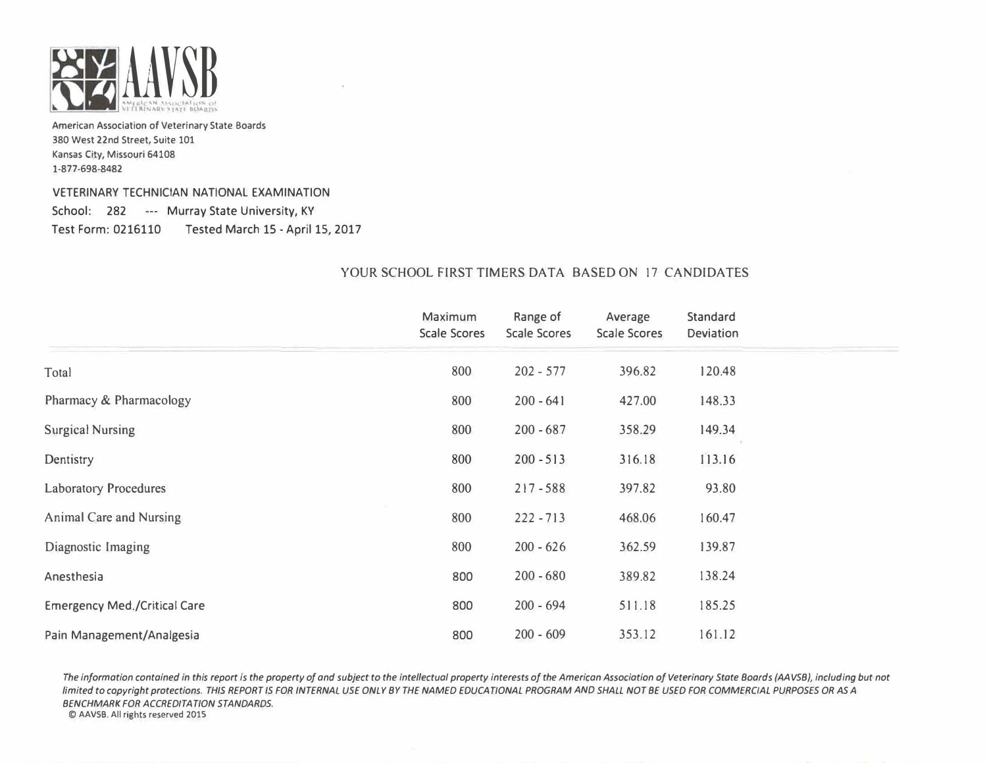

VETERINARY TECHNICIAN NATIONAL EXAMINATION School: 282 --- Murray State University, KY Test Form: 0216110 Tested March 15 - April 15, 2017

## YOUR SCHOOL FIRST TIMERS DATA BASED ON 17 CANDIDATES

|                                     | Maximum             | Range of            | Average             | Standard  |
|-------------------------------------|---------------------|---------------------|---------------------|-----------|
|                                     | <b>Scale Scores</b> | <b>Scale Scores</b> | <b>Scale Scores</b> | Deviation |
| Total                               | 800                 | $202 - 577$         | 396.82              | 120.48    |
| Pharmacy & Pharmacology             | 800                 | $200 - 641$         | 427.00              | 148.33    |
| <b>Surgical Nursing</b>             | 800                 | $200 - 687$         | 358.29              | 149.34    |
| Dentistry                           | 800                 | $200 - 513$         | 316.18              | 113.16    |
| <b>Laboratory Procedures</b>        | 800                 | $217 - 588$         | 397.82              | 93.80     |
| Animal Care and Nursing             | 800                 | $222 - 713$         | 468.06              | 160.47    |
| Diagnostic Imaging                  | 800                 | $200 - 626$         | 362.59              | 139.87    |
| Anesthesia                          | 800                 | $200 - 680$         | 389.82              | 138.24    |
| <b>Emergency Med./Critical Care</b> | 800                 | $200 - 694$         | 511.18              | 185.25    |
| Pain Management/Analgesia           | 800                 | $200 - 609$         | 353.12              | 161.12    |

The information contained in this report is the property of and subject to the intellectual property interests of the American Association of Veterinary State Boards (AAVSB), including but not limited to copyright protections. THIS REPORT IS FOR INTERNAL USE ONLY BY THE NAMED EDUCATIONAL PROGRAM AND SHALL NOT BE USED FOR COMMERCIAL PURPOSES OR AS A BENCHMARK FOR ACCREDITATION STANDARDS.